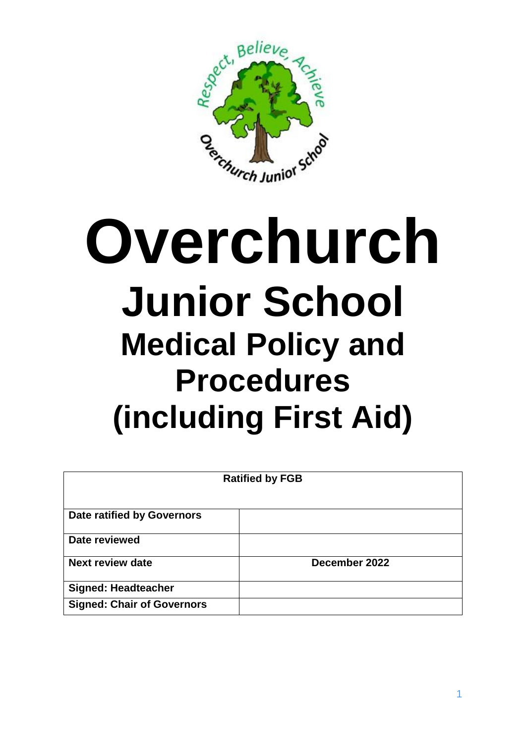

# **Overchurch Junior School Medical Policy and Procedures (including First Aid)**

| <b>Ratified by FGB</b>            |               |
|-----------------------------------|---------------|
| <b>Date ratified by Governors</b> |               |
| Date reviewed                     |               |
| <b>Next review date</b>           | December 2022 |
| <b>Signed: Headteacher</b>        |               |
| <b>Signed: Chair of Governors</b> |               |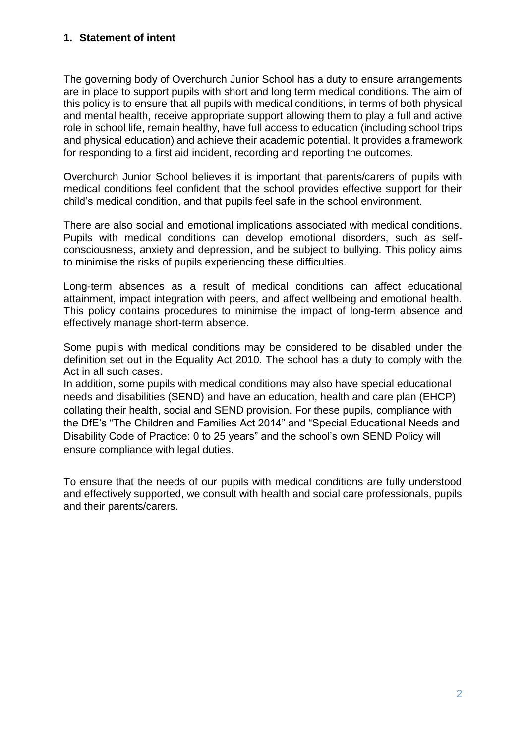#### **1. Statement of intent**

The governing body of Overchurch Junior School has a duty to ensure arrangements are in place to support pupils with short and long term medical conditions. The aim of this policy is to ensure that all pupils with medical conditions, in terms of both physical and mental health, receive appropriate support allowing them to play a full and active role in school life, remain healthy, have full access to education (including school trips and physical education) and achieve their academic potential. It provides a framework for responding to a first aid incident, recording and reporting the outcomes.

Overchurch Junior School believes it is important that parents/carers of pupils with medical conditions feel confident that the school provides effective support for their child's medical condition, and that pupils feel safe in the school environment.

There are also social and emotional implications associated with medical conditions. Pupils with medical conditions can develop emotional disorders, such as selfconsciousness, anxiety and depression, and be subject to bullying. This policy aims to minimise the risks of pupils experiencing these difficulties.

Long-term absences as a result of medical conditions can affect educational attainment, impact integration with peers, and affect wellbeing and emotional health. This policy contains procedures to minimise the impact of long-term absence and effectively manage short-term absence.

Some pupils with medical conditions may be considered to be disabled under the definition set out in the Equality Act 2010. The school has a duty to comply with the Act in all such cases.

In addition, some pupils with medical conditions may also have special educational needs and disabilities (SEND) and have an education, health and care plan (EHCP) collating their health, social and SEND provision. For these pupils, compliance with the DfE's "The Children and Families Act 2014" and "Special Educational Needs and Disability Code of Practice: 0 to 25 years" and the school's own SEND Policy will ensure compliance with legal duties.

To ensure that the needs of our pupils with medical conditions are fully understood and effectively supported, we consult with health and social care professionals, pupils and their parents/carers.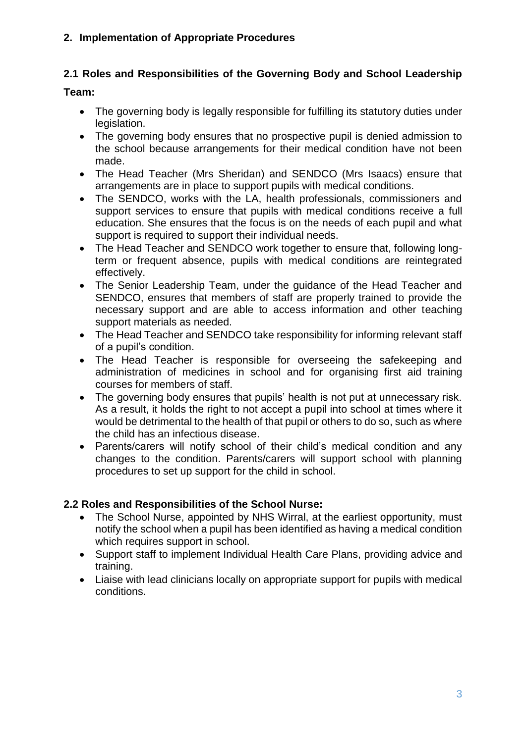# **2. Implementation of Appropriate Procedures**

# **2.1 Roles and Responsibilities of the Governing Body and School Leadership**

# **Team:**

- The governing body is legally responsible for fulfilling its statutory duties under legislation.
- The governing body ensures that no prospective pupil is denied admission to the school because arrangements for their medical condition have not been made.
- The Head Teacher (Mrs Sheridan) and SENDCO (Mrs Isaacs) ensure that arrangements are in place to support pupils with medical conditions.
- The SENDCO, works with the LA, health professionals, commissioners and support services to ensure that pupils with medical conditions receive a full education. She ensures that the focus is on the needs of each pupil and what support is required to support their individual needs.
- The Head Teacher and SENDCO work together to ensure that, following longterm or frequent absence, pupils with medical conditions are reintegrated effectively.
- The Senior Leadership Team, under the guidance of the Head Teacher and SENDCO, ensures that members of staff are properly trained to provide the necessary support and are able to access information and other teaching support materials as needed.
- The Head Teacher and SENDCO take responsibility for informing relevant staff of a pupil's condition.
- The Head Teacher is responsible for overseeing the safekeeping and administration of medicines in school and for organising first aid training courses for members of staff.
- The governing body ensures that pupils' health is not put at unnecessary risk. As a result, it holds the right to not accept a pupil into school at times where it would be detrimental to the health of that pupil or others to do so, such as where the child has an infectious disease.
- Parents/carers will notify school of their child's medical condition and any changes to the condition. Parents/carers will support school with planning procedures to set up support for the child in school.

# **2.2 Roles and Responsibilities of the School Nurse:**

- The School Nurse, appointed by NHS Wirral, at the earliest opportunity, must notify the school when a pupil has been identified as having a medical condition which requires support in school.
- Support staff to implement Individual Health Care Plans, providing advice and training.
- Liaise with lead clinicians locally on appropriate support for pupils with medical conditions.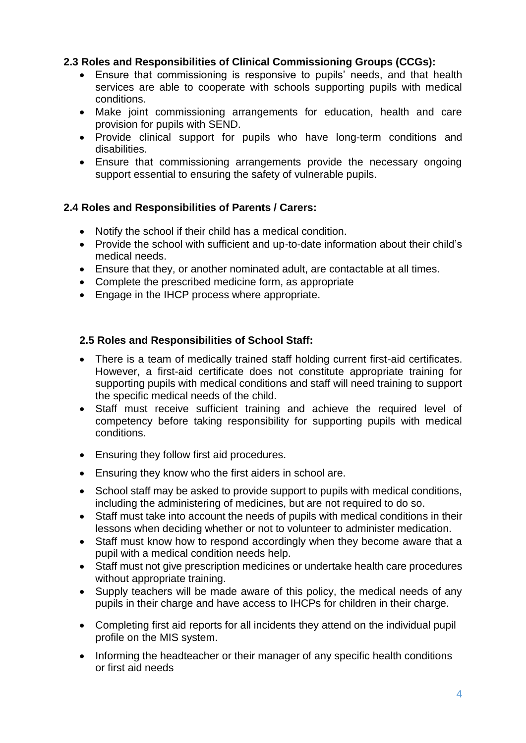# **2.3 Roles and Responsibilities of Clinical Commissioning Groups (CCGs):**

- Ensure that commissioning is responsive to pupils' needs, and that health services are able to cooperate with schools supporting pupils with medical conditions.
- Make joint commissioning arrangements for education, health and care provision for pupils with SEND.
- Provide clinical support for pupils who have long-term conditions and disabilities.
- Ensure that commissioning arrangements provide the necessary ongoing support essential to ensuring the safety of vulnerable pupils.

# **2.4 Roles and Responsibilities of Parents / Carers:**

- Notify the school if their child has a medical condition.
- Provide the school with sufficient and up-to-date information about their child's medical needs.
- Ensure that they, or another nominated adult, are contactable at all times.
- Complete the prescribed medicine form, as appropriate
- Engage in the IHCP process where appropriate.

# **2.5 Roles and Responsibilities of School Staff:**

- There is a team of medically trained staff holding current first-aid certificates. However, a first-aid certificate does not constitute appropriate training for supporting pupils with medical conditions and staff will need training to support the specific medical needs of the child.
- Staff must receive sufficient training and achieve the required level of competency before taking responsibility for supporting pupils with medical conditions.
- Ensuring they follow first aid procedures.
- Ensuring they know who the first aiders in school are.
- School staff may be asked to provide support to pupils with medical conditions, including the administering of medicines, but are not required to do so.
- Staff must take into account the needs of pupils with medical conditions in their lessons when deciding whether or not to volunteer to administer medication.
- Staff must know how to respond accordingly when they become aware that a pupil with a medical condition needs help.
- Staff must not give prescription medicines or undertake health care procedures without appropriate training.
- Supply teachers will be made aware of this policy, the medical needs of any pupils in their charge and have access to IHCPs for children in their charge.
- Completing first aid reports for all incidents they attend on the individual pupil profile on the MIS system.
- Informing the headteacher or their manager of any specific health conditions or first aid needs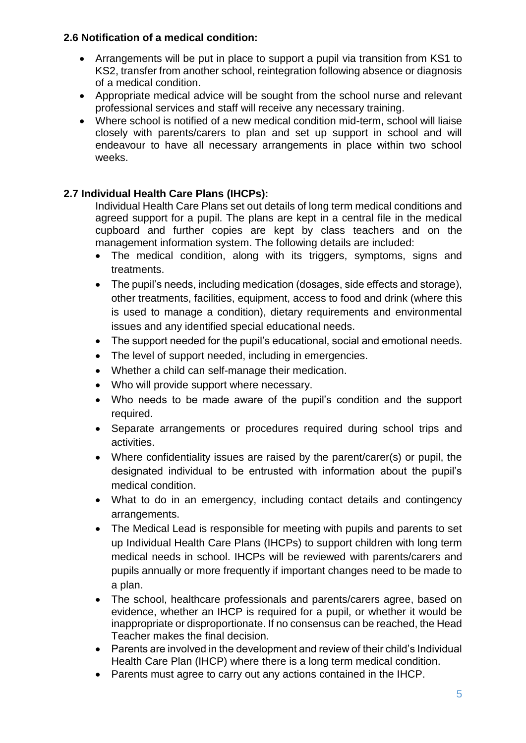# **2.6 Notification of a medical condition:**

- Arrangements will be put in place to support a pupil via transition from KS1 to KS2, transfer from another school, reintegration following absence or diagnosis of a medical condition.
- Appropriate medical advice will be sought from the school nurse and relevant professional services and staff will receive any necessary training.
- Where school is notified of a new medical condition mid-term, school will liaise closely with parents/carers to plan and set up support in school and will endeavour to have all necessary arrangements in place within two school weeks.

# **2.7 Individual Health Care Plans (IHCPs):**

Individual Health Care Plans set out details of long term medical conditions and agreed support for a pupil. The plans are kept in a central file in the medical cupboard and further copies are kept by class teachers and on the management information system. The following details are included:

- The medical condition, along with its triggers, symptoms, signs and treatments.
- The pupil's needs, including medication (dosages, side effects and storage), other treatments, facilities, equipment, access to food and drink (where this is used to manage a condition), dietary requirements and environmental issues and any identified special educational needs.
- The support needed for the pupil's educational, social and emotional needs.
- The level of support needed, including in emergencies.
- Whether a child can self-manage their medication.
- Who will provide support where necessary.
- Who needs to be made aware of the pupil's condition and the support required.
- Separate arrangements or procedures required during school trips and activities.
- Where confidentiality issues are raised by the parent/carer(s) or pupil, the designated individual to be entrusted with information about the pupil's medical condition.
- What to do in an emergency, including contact details and contingency arrangements.
- The Medical Lead is responsible for meeting with pupils and parents to set up Individual Health Care Plans (IHCPs) to support children with long term medical needs in school. IHCPs will be reviewed with parents/carers and pupils annually or more frequently if important changes need to be made to a plan.
- The school, healthcare professionals and parents/carers agree, based on evidence, whether an IHCP is required for a pupil, or whether it would be inappropriate or disproportionate. If no consensus can be reached, the Head Teacher makes the final decision.
- Parents are involved in the development and review of their child's Individual Health Care Plan (IHCP) where there is a long term medical condition.
- Parents must agree to carry out any actions contained in the IHCP.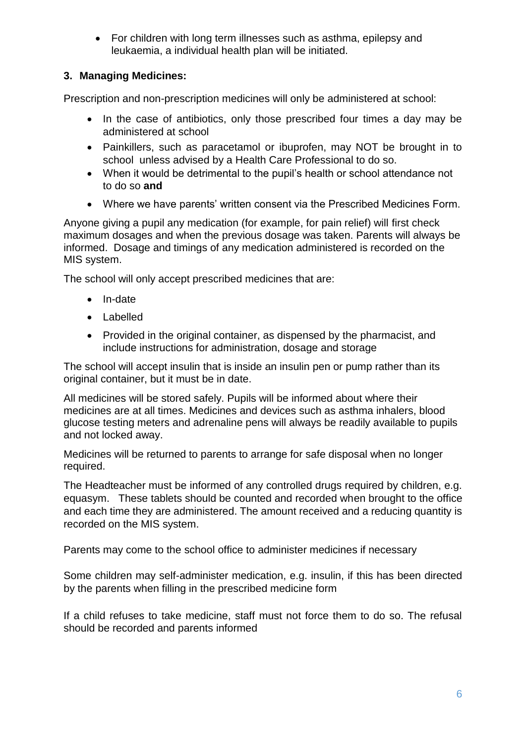• For children with long term illnesses such as asthma, epilepsy and leukaemia, a individual health plan will be initiated.

# **3. Managing Medicines:**

Prescription and non-prescription medicines will only be administered at school:

- In the case of antibiotics, only those prescribed four times a day may be administered at school
- Painkillers, such as paracetamol or ibuprofen, may NOT be brought in to school unless advised by a Health Care Professional to do so.
- When it would be detrimental to the pupil's health or school attendance not to do so **and**
- Where we have parents' written consent via the Prescribed Medicines Form.

Anyone giving a pupil any medication (for example, for pain relief) will first check maximum dosages and when the previous dosage was taken. Parents will always be informed. Dosage and timings of any medication administered is recorded on the MIS system.

The school will only accept prescribed medicines that are:

- In-date
- Labelled
- Provided in the original container, as dispensed by the pharmacist, and include instructions for administration, dosage and storage

The school will accept insulin that is inside an insulin pen or pump rather than its original container, but it must be in date.

All medicines will be stored safely. Pupils will be informed about where their medicines are at all times. Medicines and devices such as asthma inhalers, blood glucose testing meters and adrenaline pens will always be readily available to pupils and not locked away.

Medicines will be returned to parents to arrange for safe disposal when no longer required.

The Headteacher must be informed of any controlled drugs required by children, e.g. equasym. These tablets should be counted and recorded when brought to the office and each time they are administered. The amount received and a reducing quantity is recorded on the MIS system.

Parents may come to the school office to administer medicines if necessary

Some children may self-administer medication, e.g. insulin, if this has been directed by the parents when filling in the prescribed medicine form

If a child refuses to take medicine, staff must not force them to do so. The refusal should be recorded and parents informed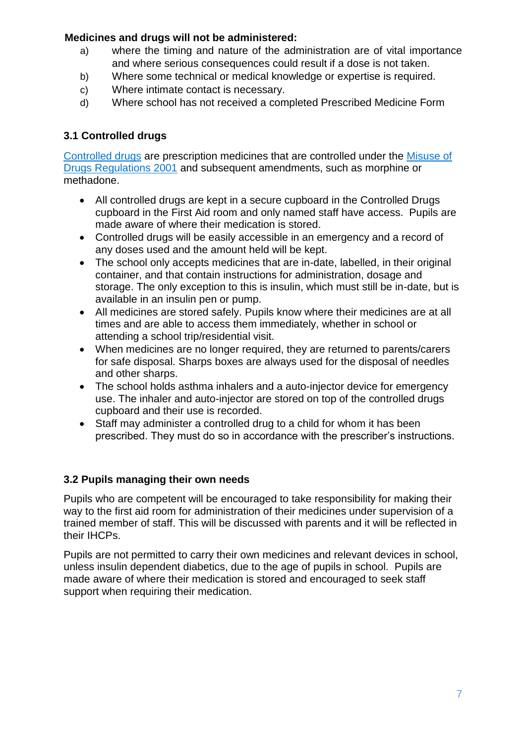# **Medicines and drugs will not be administered:**

- a) where the timing and nature of the administration are of vital importance and where serious consequences could result if a dose is not taken.
- b) Where some technical or medical knowledge or expertise is required.
- c) Where intimate contact is necessary.
- d) Where school has not received a completed Prescribed Medicine Form

# **3.1 Controlled drugs**

[Controlled drugs](http://www.nhs.uk/chq/Pages/1391.aspx?CategoryID=73) are prescription medicines that are controlled under the [Misuse of](http://www.legislation.gov.uk/uksi/2001/3998/schedule/1/made)  [Drugs Regulations 2001](http://www.legislation.gov.uk/uksi/2001/3998/schedule/1/made) and subsequent amendments, such as morphine or methadone.

- All controlled drugs are kept in a secure cupboard in the Controlled Drugs cupboard in the First Aid room and only named staff have access. Pupils are made aware of where their medication is stored.
- Controlled drugs will be easily accessible in an emergency and a record of any doses used and the amount held will be kept.
- The school only accepts medicines that are in-date, labelled, in their original container, and that contain instructions for administration, dosage and storage. The only exception to this is insulin, which must still be in-date, but is available in an insulin pen or pump.
- All medicines are stored safely. Pupils know where their medicines are at all times and are able to access them immediately, whether in school or attending a school trip/residential visit.
- When medicines are no longer required, they are returned to parents/carers for safe disposal. Sharps boxes are always used for the disposal of needles and other sharps.
- The school holds asthma inhalers and a auto-injector device for emergency use. The inhaler and auto-injector are stored on top of the controlled drugs cupboard and their use is recorded.
- Staff may administer a controlled drug to a child for whom it has been prescribed. They must do so in accordance with the prescriber's instructions.

# **3.2 Pupils managing their own needs**

Pupils who are competent will be encouraged to take responsibility for making their way to the first aid room for administration of their medicines under supervision of a trained member of staff. This will be discussed with parents and it will be reflected in their IHCPs.

Pupils are not permitted to carry their own medicines and relevant devices in school, unless insulin dependent diabetics, due to the age of pupils in school. Pupils are made aware of where their medication is stored and encouraged to seek staff support when requiring their medication.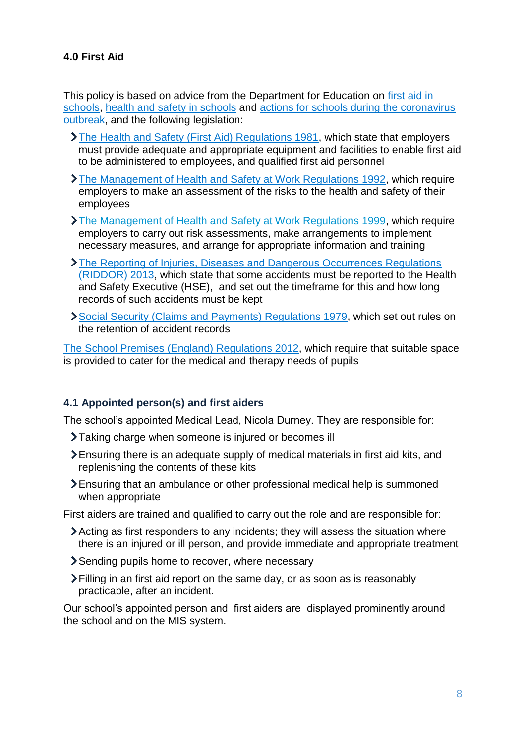# **4.0 First Aid**

This policy is based on advice from the Department for Education on [first aid in](https://www.gov.uk/government/publications/first-aid-in-schools)  [schools,](https://www.gov.uk/government/publications/first-aid-in-schools) [health and safety in schools](https://www.gov.uk/government/publications/health-and-safety-advice-for-schools) and [actions for schools during the coronavirus](https://www.gov.uk/government/publications/actions-for-schools-during-the-coronavirus-outbreak)  [outbreak,](https://www.gov.uk/government/publications/actions-for-schools-during-the-coronavirus-outbreak) and the following legislation:

- [The Health and Safety \(First Aid\) Regulations 1981,](http://www.legislation.gov.uk/uksi/1981/917/regulation/3/made) which state that employers must provide adequate and appropriate equipment and facilities to enable first aid to be administered to employees, and qualified first aid personnel
- [The Management of Health and Safety at Work Regulations 1992,](http://www.legislation.gov.uk/uksi/1992/2051/regulation/3/made) which require employers to make an assessment of the risks to the health and safety of their employees
- [The Management of Health and Safety at Work Regulations 1999,](http://www.legislation.gov.uk/uksi/1999/3242/contents/made) which require employers to carry out risk assessments, make arrangements to implement necessary measures, and arrange for appropriate information and training
- [The Reporting of Injuries, Diseases and Dangerous Occurrences Regulations](http://www.legislation.gov.uk/uksi/2013/1471/schedule/1/paragraph/1/made)  [\(RIDDOR\) 2013,](http://www.legislation.gov.uk/uksi/2013/1471/schedule/1/paragraph/1/made) which state that some accidents must be reported to the Health and Safety Executive (HSE), and set out the timeframe for this and how long records of such accidents must be kept
- [Social Security \(Claims and Payments\) Regulations 1979,](http://www.legislation.gov.uk/uksi/1979/628) which set out rules on the retention of accident records

[The School Premises \(England\) Regulations 2012,](http://www.legislation.gov.uk/uksi/2012/1943/regulation/5/made) which require that suitable space is provided to cater for the medical and therapy needs of pupils

#### **4.1 Appointed person(s) and first aiders**

The school's appointed Medical Lead, Nicola Durney. They are responsible for:

- Taking charge when someone is injured or becomes ill
- Ensuring there is an adequate supply of medical materials in first aid kits, and replenishing the contents of these kits
- Ensuring that an ambulance or other professional medical help is summoned when appropriate

First aiders are trained and qualified to carry out the role and are responsible for:

- Acting as first responders to any incidents; they will assess the situation where there is an injured or ill person, and provide immediate and appropriate treatment
- Sending pupils home to recover, where necessary
- Filling in an first aid report on the same day, or as soon as is reasonably practicable, after an incident.

Our school's appointed person and first aiders are displayed prominently around the school and on the MIS system.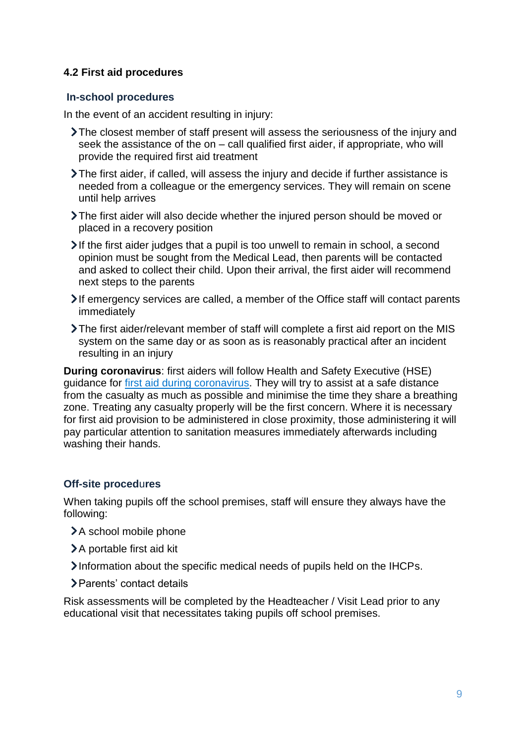# **4.2 First aid procedures**

#### **In-school procedures**

In the event of an accident resulting in injury:

- The closest member of staff present will assess the seriousness of the injury and seek the assistance of the on – call qualified first aider, if appropriate, who will provide the required first aid treatment
- The first aider, if called, will assess the injury and decide if further assistance is needed from a colleague or the emergency services. They will remain on scene until help arrives
- The first aider will also decide whether the injured person should be moved or placed in a recovery position
- $\blacktriangleright$  If the first aider judges that a pupil is too unwell to remain in school, a second opinion must be sought from the Medical Lead, then parents will be contacted and asked to collect their child. Upon their arrival, the first aider will recommend next steps to the parents
- If emergency services are called, a member of the Office staff will contact parents immediately
- The first aider/relevant member of staff will complete a first aid report on the MIS system on the same day or as soon as is reasonably practical after an incident resulting in an injury

**During coronavirus**: first aiders will follow Health and Safety Executive (HSE) guidance for [first aid during coronavirus.](https://www.hse.gov.uk/coronavirus/first-aid-and-medicals/first-aid-certificate-coronavirus.htm) They will try to assist at a safe distance from the casualty as much as possible and minimise the time they share a breathing zone. Treating any casualty properly will be the first concern. Where it is necessary for first aid provision to be administered in close proximity, those administering it will pay particular attention to sanitation measures immediately afterwards including washing their hands.

#### **Off-site proced**u**res**

When taking pupils off the school premises, staff will ensure they always have the following:

- >A school mobile phone
- > A portable first aid kit
- Information about the specific medical needs of pupils held on the IHCPs.
- Parents' contact details

Risk assessments will be completed by the Headteacher / Visit Lead prior to any educational visit that necessitates taking pupils off school premises.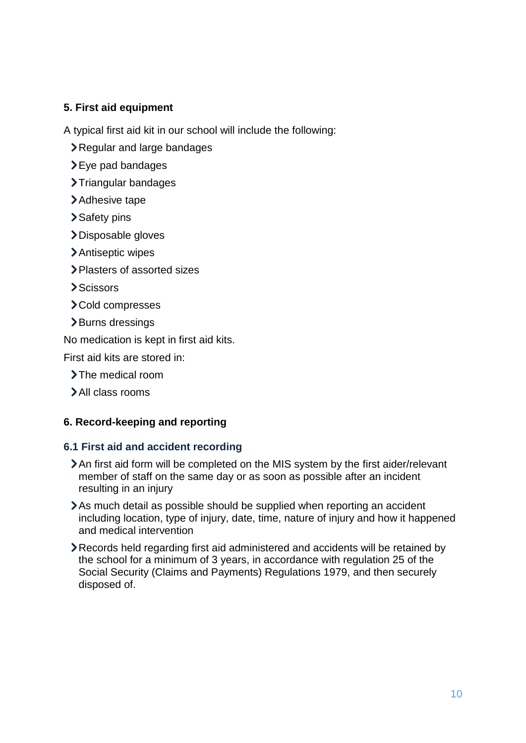# **5. First aid equipment**

A typical first aid kit in our school will include the following:

- Regular and large bandages
- $\blacktriangleright$  Eye pad bandages
- >Triangular bandages
- >Adhesive tape
- >Safety pins
- >Disposable gloves
- Antiseptic wipes
- Plasters of assorted sizes
- **Scissors**
- Cold compresses
- >Burns dressings

No medication is kept in first aid kits.

First aid kits are stored in:

- The medical room
- All class rooms

# **6. Record-keeping and reporting**

# **6.1 First aid and accident recording**

- An first aid form will be completed on the MIS system by the first aider/relevant member of staff on the same day or as soon as possible after an incident resulting in an injury
- As much detail as possible should be supplied when reporting an accident including location, type of injury, date, time, nature of injury and how it happened and medical intervention
- Records held regarding first aid administered and accidents will be retained by the school for a minimum of 3 years, in accordance with regulation 25 of the Social Security (Claims and Payments) Regulations 1979, and then securely disposed of.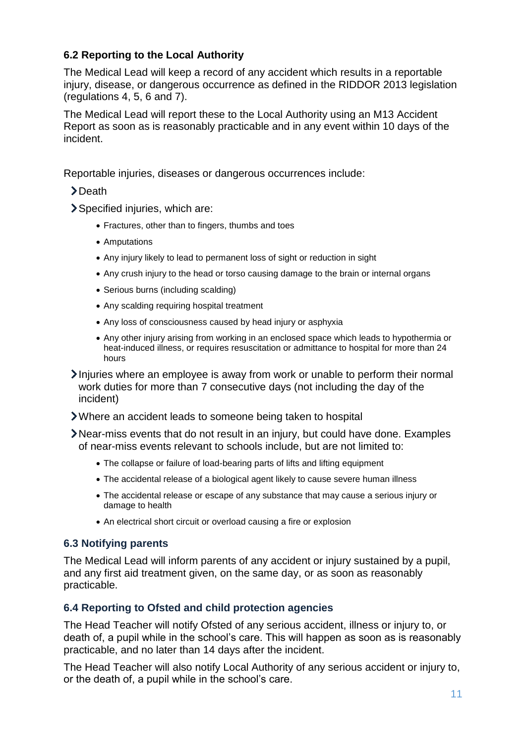# **6.2 Reporting to the Local Authority**

The Medical Lead will keep a record of any accident which results in a reportable injury, disease, or dangerous occurrence as defined in the RIDDOR 2013 legislation (regulations 4, 5, 6 and 7).

The Medical Lead will report these to the Local Authority using an M13 Accident Report as soon as is reasonably practicable and in any event within 10 days of the incident.

Reportable injuries, diseases or dangerous occurrences include:

- >Death
- Specified injuries, which are:
	- Fractures, other than to fingers, thumbs and toes
	- Amputations
	- Any injury likely to lead to permanent loss of sight or reduction in sight
	- Any crush injury to the head or torso causing damage to the brain or internal organs
	- Serious burns (including scalding)
	- Any scalding requiring hospital treatment
	- Any loss of consciousness caused by head injury or asphyxia
	- Any other injury arising from working in an enclosed space which leads to hypothermia or heat-induced illness, or requires resuscitation or admittance to hospital for more than 24 hours
- Injuries where an employee is away from work or unable to perform their normal work duties for more than 7 consecutive days (not including the day of the incident)
- Where an accident leads to someone being taken to hospital
- Near-miss events that do not result in an injury, but could have done. Examples of near-miss events relevant to schools include, but are not limited to:
	- The collapse or failure of load-bearing parts of lifts and lifting equipment
	- The accidental release of a biological agent likely to cause severe human illness
	- The accidental release or escape of any substance that may cause a serious injury or damage to health
	- An electrical short circuit or overload causing a fire or explosion

# **6.3 Notifying parents**

The Medical Lead will inform parents of any accident or injury sustained by a pupil, and any first aid treatment given, on the same day, or as soon as reasonably practicable.

# **6.4 Reporting to Ofsted and child protection agencies**

The Head Teacher will notify Ofsted of any serious accident, illness or injury to, or death of, a pupil while in the school's care. This will happen as soon as is reasonably practicable, and no later than 14 days after the incident.

The Head Teacher will also notify Local Authority of any serious accident or injury to, or the death of, a pupil while in the school's care.